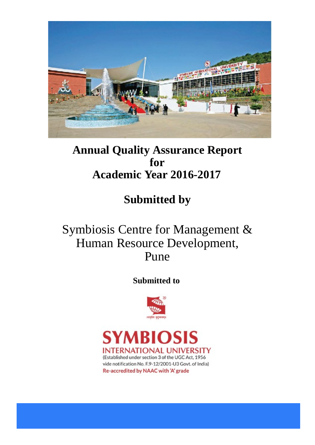

## **Annual Quality Assurance Report for Academic Year 2016-2017**

# **Submitted by**

# Symbiosis Centre for Management & Human Resource Development, Pune

## **Submitted to**



YMRIO  $\mathbf S$ **INTERNATIONAL UNIVERSITY** (Established under section 3 of the UGC Act, 1956 vide notification No. F.9-12/2001-U3 Govt. of India) Re-accredited by NAAC with 'A' grade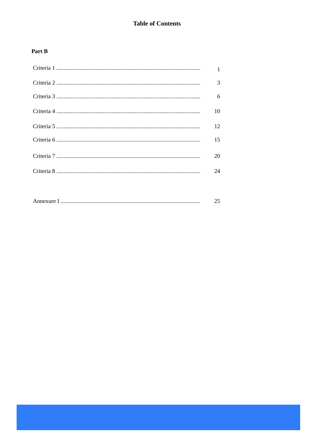## **Table of Contents**

## Part B

| $\mathbf{1}$ |
|--------------|
| 3            |
| 6            |
| 10           |
| 12           |
| 15           |
| 20           |
| 24           |
|              |

|--|--|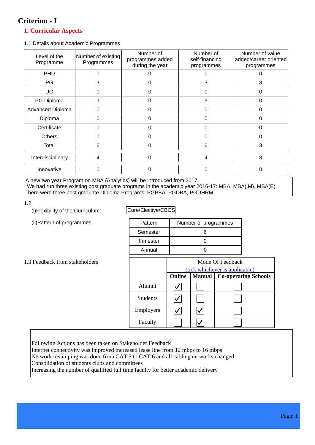## **Criterion - I**

## **1. Curricular Aspects**

1.1 Details about Academic Programmes

| Level of the<br>Programme | Number of existing<br>Programmes | Number of<br>programmes added<br>during the year | Number of<br>self-financing<br>programmes | Number of value<br>added/career oriented<br>programmes |
|---------------------------|----------------------------------|--------------------------------------------------|-------------------------------------------|--------------------------------------------------------|
| PHD                       |                                  |                                                  |                                           |                                                        |
| PG                        | 3                                | 0                                                | 3                                         | 3                                                      |
| UG                        | ი                                | 0                                                | 0                                         | 0                                                      |
| PG Diploma                | 3                                | 0                                                | 3                                         | $\Omega$                                               |
| Advanced Diploma          | 0                                | 0                                                | 0                                         | 0                                                      |
| Diploma                   | ი                                | O                                                | O                                         |                                                        |
| Certificate               | O                                | 0                                                | O                                         |                                                        |
| <b>Others</b>             | ი                                | 0                                                | ი                                         | ∩                                                      |
| Total                     | 6                                | 0                                                | 6                                         | 3                                                      |
| Interdisciplinary         | 4                                | 0                                                | 4                                         | 3                                                      |
| Innovative                | O                                | 0                                                | O                                         |                                                        |

A new two year Program on MBA (Analytics) will be introduced from 2017. We had run three existing post graduate programs in the academic year 2016-17: MBA, MBA(IM), MBA(E) There were three post graduate Diploma Programs: PGPBA, PGDBA, PGDHRM

1.2

(i)Flexibility of the Curriculum:

(ii)Pattern of programmes:

Core/Elective/CBCS

| Pattern          | Number of programmes |
|------------------|----------------------|
| Semester         | 6                    |
| <b>Trimester</b> |                      |
| Annual           |                      |

#### 1.3 Feedback from stakeholders

|                 | Mode Of Feedback<br>(tick whichever is applicable) |                                              |  |  |
|-----------------|----------------------------------------------------|----------------------------------------------|--|--|
|                 | Online                                             | <b>Co-operating Schools</b><br><b>Manual</b> |  |  |
| Alumni          |                                                    |                                              |  |  |
| <b>Students</b> |                                                    |                                              |  |  |
| Employers       |                                                    |                                              |  |  |
| Faculty         |                                                    |                                              |  |  |

Following Actions has been taken on Stakeholder Feedback

Internet connectivity was improved increased lease line from 12 mbps to 16 mbps

Network revamping was done from CAT 5 to CAT 6 and all cabling networks changed Consolidation of students clubs and committees

Increasing the number of qualified full time faculty for better academic delivery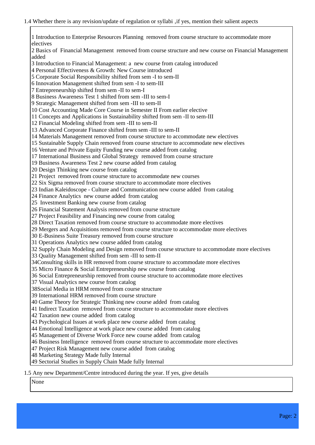1 Introduction to Enterprise Resources Planning removed from course structure to accommodate more electives 2 Basics of Financial Management removed from course structure and new course on Financial Management added 3 Introduction to Financial Management: a new course from catalog introduced 4 Personal Effectiveness & Growth: New Course introduced 5 Corporate Social Responsibility shifted from sem -I to sem-II 6 Innovation Management shifted from sem -I to sem-III 7 Entrepreneurship shifted from sem -II to sem-I 8 Business Awareness Test 1 shifted from sem -III to sem-I 9 Strategic Management shifted from sem -III to sem-II 10 Cost Accounting Made Core Course in Semester II From earlier elective 11 Concepts and Applications in Sustainability shifted from sem -II to sem-III 12 Financial Modeling shifted from sem -III to sem-II 13 Advanced Corporate Finance shifted from sem -III to sem-II 14 Materials Management removed from course structure to accommodate new electives 15 Sustainable Supply Chain removed from course structure to accommodate new electives 16 Venture and Private Equity Funding new course added from catalog 17 International Business and Global Strategy removed from course structure 19 Business Awareness Test 2 new course added from catalog 20 Design Thinking new course from catalog 21 Project removed from course structure to accommodate new courses 22 Six Sigma removed from course structure to accommodate more electives 23 Indian Kaleidoscope - Culture and Communication new course added from catalog 24 Finance Analytics new course added from catalog 25 Investment Banking new course from catalog 26 Financial Statement Analysis removed from course structure 27 Project Feasibility and Financing new course from catalog 28 Direct Taxation removed from course structure to accommodate more electives 29 Mergers and Acquisitions removed from course structure to accommodate more electives 30 E-Business Suite Treasury removed from course structure 31 Operations Analytics new course added from catalog 32 Supply Chain Modeling and Design removed from course structure to accommodate more electives 33 Quality Management shifted from sem -III to sem-II 34Consulting skills in HR removed from course structure to accommodate more electives 35 Micro Finance & Social Entrepreneurship new course from catalog 36 Social Entrepreneurship removed from course structure to accommodate more electives 37 Visual Analytics new course from catalog 38Social Media in HRM removed from course structure 39 International HRM removed from course structure 40 Game Theory for Strategic Thinking new course added from catalog 41 Indirect Taxation removed from course structure to accommodate more electives 42 Taxation new course added from catalog 43 Psychological Issues at work place new course added from catalog 44 Emotional Intelligence at work place new course added from catalog 45 Management of Diverse Work Force new course added from catalog 46 Business Intelligence removed from course structure to accommodate more electives 47 Project Risk Management new course added from catalog 48 Marketing Strategy Made fully Internal 49 Sectorial Studies in Supply Chain Made fully Internal

#### 1.5 Any new Department/Centre introduced during the year. If yes, give details

None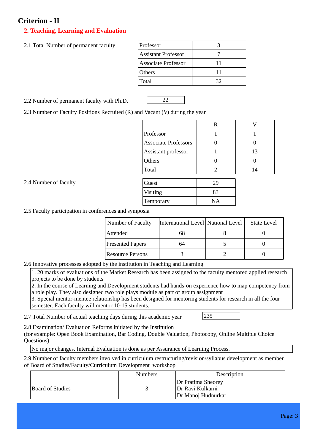## **Criterion - II**

2.4 Number of faculty

## **2. Teaching, Learning and Evaluation**

2.1 Total Number of permanent faculty

| Professor                  |    |
|----------------------------|----|
| <b>Assistant Professor</b> |    |
| Associate Professor        | 11 |
| Others                     | 11 |
| Total                      | 32 |
|                            |    |

2.2 Number of permanent faculty with Ph.D. 22

2.3 Number of Faculty Positions Recruited (R) and Vacant (V) during the year

| $\mathbf R$ |    |
|-------------|----|
|             |    |
|             |    |
|             | 13 |
|             |    |
| 2           | 14 |
|             |    |
| 29          |    |
| 83          |    |
| NA          |    |
|             |    |

2.5 Faculty participation in conferences and symposia

| <b>Number of Faculty</b> | International Level   National Level | <b>State Level</b> |
|--------------------------|--------------------------------------|--------------------|
| Attended                 | 68                                   |                    |
| <b>Presented Papers</b>  | 64                                   |                    |
| Resource Persons         |                                      |                    |

2.6 Innovative processes adopted by the institution in Teaching and Learning

1. 20 marks of evaluations of the Market Research has been assigned to the faculty mentored applied research projects to be done by students

2. In the course of Learning and Development students had hands-on experience how to map competency from a role play. They also designed two role plays module as part of group assignment

3. Special mentor-mentee relationship has been designed for mentoring students for research in all the four semester. Each faculty will mentor 10-15 students.

2.7 Total Number of actual teaching days during this academic year  $235$ 

2.8 Examination/ Evaluation Reforms initiated by the Institution

(for example: Open Book Examination, Bar Coding, Double Valuation, Photocopy, Online Multiple Choice Questions)

No major changes. Internal Evaluation is done as per Assurance of Learning Process.

2.9 Number of faculty members involved in curriculum restructuring/revision/syllabus development as member of Board of Studies/Faculty/Curriculum Development workshop

|                         | <b>Numbers</b> | Description                                                  |
|-------------------------|----------------|--------------------------------------------------------------|
| <b>Board of Studies</b> |                | Dr Pratima Sheorey<br>Dr Ravi Kulkarni<br>Dr Manoj Hudnurkar |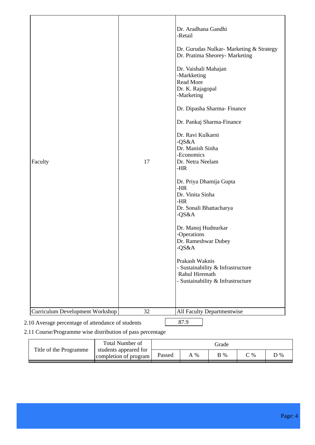|                                                   |    | Dr. Aradhana Gandhi<br>-Retail                                                                             |
|---------------------------------------------------|----|------------------------------------------------------------------------------------------------------------|
|                                                   |    | Dr. Gurudas Nulkar- Marketing & Strategy<br>Dr. Pratima Sheorey- Marketing                                 |
|                                                   |    | Dr. Vaishali Mahajan<br>-Markketing<br>Read More<br>Dr. K. Rajagopal<br>-Marketing                         |
|                                                   |    | Dr. Dipasha Sharma-Finance                                                                                 |
|                                                   |    | Dr. Pankaj Sharma-Finance                                                                                  |
| Faculty                                           | 17 | Dr. Ravi Kulkarni<br>$-QS&A$<br>Dr. Manish Sinha<br>-Economics<br>Dr. Netra Neelam<br>-HR                  |
|                                                   |    | Dr. Priya Dhamija Gupta<br>$-HR$<br>Dr. Vinita Sinha<br>- $HR$<br>Dr. Sonali Bhattacharya<br>-QS&A         |
|                                                   |    | Dr. Manoj Hudnurkar<br>-Operations<br>Dr. Rameshwar Dubey<br>$-QS&A$                                       |
|                                                   |    | Prakash Waknis<br>- Sustainability & Infrastructure<br>Rahul Hiremath<br>- Sustainability & Infrastructure |
| <b>Curriculum Development Workshop</b>            | 32 | All Faculty Departmentwise                                                                                 |
| 2.10 Average percentage of attendance of students |    | 87.9                                                                                                       |

## 2.11 Course/Programme wise distribution of pass percentage

|                        | Total Number of                                | Grade  |      |     |             |     |
|------------------------|------------------------------------------------|--------|------|-----|-------------|-----|
| Title of the Programme | students appeared for<br>completion of program | Passed | $\%$ | B % | $\degree$ % | O % |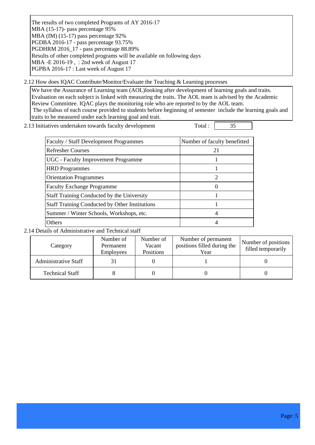The results of two completed Programs of AY 2016-17 MBA (15-17)- pass percentage 95% MBA (IM) (15-17) pass percentage 92% PGDBA 2016-17 - pass percentage 93.75% PGDHRM 2016\_17 - pass percentage 88.89% Results of other completed programs will be available on following days MBA -E 2016-19 , : 2nd week of August 17 PGPBA 2016-17 : Last week of August 17

2.12 How does IQAC Contribute/Monitor/Evaluate the Teaching & Learning processes

We have the Assurance of Learning team (AOL)looking after development of learning goals and traits. Evaluation on each subject is linked with measuring the traits. The AOL team is advised by the Academic Review Committee. IQAC plays the monitoring role who are reported to by the AOL team. The syllabus of each course provided to students before beginning of semester include the learning goals and traits to be measured under each learning goal and trait.

2.13 Initiatives undertaken towards faculty development Total :  $\sqrt{35}$ 

| <b>Faculty / Staff Development Programmes</b>         | Number of faculty benefitted |
|-------------------------------------------------------|------------------------------|
| <b>Refresher Courses</b>                              | 21                           |
| <b>UGC</b> - Faculty Improvement Programme            |                              |
| <b>HRD</b> Programmes                                 |                              |
| <b>Orientation Programmes</b>                         | $\mathcal{D}_{\mathcal{L}}$  |
| <b>Faculty Exchange Programme</b>                     |                              |
| Staff Training Conducted by the University            |                              |
| <b>Staff Training Conducted by Other Institutions</b> |                              |
| Summer / Winter Schools, Workshops, etc.              |                              |
| <b>Others</b>                                         |                              |

2.14 Details of Administrative and Technical staff

| Category                    | Number of<br>Permanent<br><b>Employees</b> | Number of<br>Vacant<br>Positions | Number of permanent<br>positions filled during the<br>Year | Number of positions<br>filled temporarily |
|-----------------------------|--------------------------------------------|----------------------------------|------------------------------------------------------------|-------------------------------------------|
| <b>Administrative Staff</b> |                                            |                                  |                                                            |                                           |
| <b>Technical Staff</b>      |                                            |                                  |                                                            |                                           |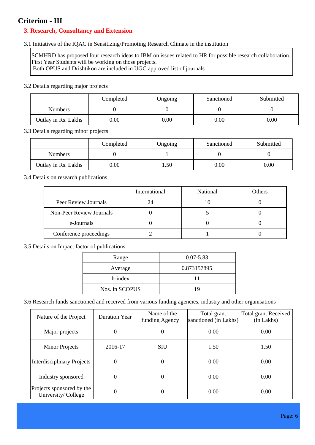## **Criterion - III**

## **3. Research, Consultancy and Extension**

## 3.1 Initiatives of the IQAC in Sensitizing/Promoting Research Climate in the institution

SCMHRD has proposed four research ideas to IBM on issues related to HR for possible research collaboration. First Year Students will be working on those projects.

Both OPUS and Drishtikon are included in UGC approved list of journals

## 3.2 Details regarding major projects

|                     | Completed<br>Sanctioned<br>Ongoing |          | Submitted |      |
|---------------------|------------------------------------|----------|-----------|------|
| <b>Numbers</b>      |                                    |          |           |      |
| Outlay in Rs. Lakhs | $0.00\,$                           | $0.00\,$ | 0.00      | 0.00 |

## 3.3 Details regarding minor projects

|                     | Completed | Ongoing | Sanctioned | Submitted |
|---------------------|-----------|---------|------------|-----------|
| <b>Numbers</b>      |           |         |            |           |
| Outlay in Rs. Lakhs | $0.00\,$  | .50     | $0.00\,$   | 0.00      |

## 3.4 Details on research publications

|                          | International | National | Others |
|--------------------------|---------------|----------|--------|
| Peer Review Journals     | 24            |          |        |
| Non-Peer Review Journals |               |          |        |
| e-Journals               |               |          |        |
| Conference proceedings   |               |          |        |

## 3.5 Details on Impact factor of publications

| Range          | $0.07 - 5.83$ |
|----------------|---------------|
| Average        | 0.873157895   |
| h-index        | 11            |
| Nos. in SCOPUS | 19            |

3.6 Research funds sanctioned and received from various funding agencies, industry and other organisations

| Nature of the Project                           | <b>Duration Year</b> | Name of the<br>funding Agency | Total grant<br>sanctioned (in Lakhs) | <b>Total grant Received</b><br>(in Lakhs) |
|-------------------------------------------------|----------------------|-------------------------------|--------------------------------------|-------------------------------------------|
| Major projects                                  | 0                    | $\overline{0}$                | 0.00                                 | 0.00                                      |
| <b>Minor Projects</b>                           | 2016-17              | <b>SIU</b>                    | 1.50                                 | 1.50                                      |
| <b>Interdisciplinary Projects</b>               | $\boldsymbol{0}$     | $\Omega$                      | 0.00                                 | 0.00                                      |
| Industry sponsored                              | 0                    | $\Omega$                      | 0.00                                 | 0.00                                      |
| Projects sponsored by the<br>University/College | 0                    | 0                             | 0.00                                 | 0.00                                      |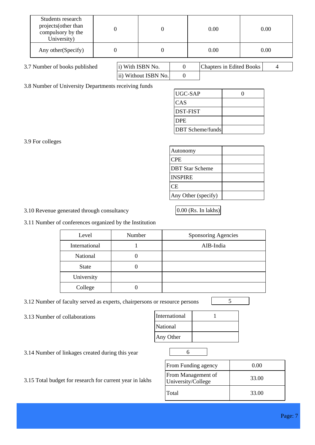| Students research<br>projects (other than<br>compulsory by the<br>University) |                  |  | 0.00                     | 0.00 |
|-------------------------------------------------------------------------------|------------------|--|--------------------------|------|
| Any other (Specify)                                                           |                  |  | 0.00                     | 0.00 |
| 3.7 Number of books published                                                 | i) With ISBN No. |  | Chapters in Edited Books |      |

0

ii) Without ISBN No.

3.8 Number of University Departments receiving funds

| UGC-SAP                 |  |
|-------------------------|--|
| CAS                     |  |
| <b>DST-FIST</b>         |  |
| <b>DPE</b>              |  |
| <b>DBT</b> Scheme/funds |  |

3.9 For colleges

| Autonomy                |  |
|-------------------------|--|
| <b>CPE</b>              |  |
| <b>IDBT Star Scheme</b> |  |
| <b>INSPIRE</b>          |  |
| СE                      |  |
| Any Other (specify)     |  |

3.10 Revenue generated through consultancy 0.00 (Rs. In lakhs)

3.11 Number of conferences organized by the Institution

| Level         | Number | <b>Sponsoring Agencies</b> |
|---------------|--------|----------------------------|
| International |        | AIB-India                  |
| National      |        |                            |
| <b>State</b>  |        |                            |
| University    |        |                            |
| College       |        |                            |

3.12 Number of faculty served as experts, chairpersons or resource persons 5

3.13 Number of collaborations

| International |  |
|---------------|--|
| National      |  |
| Any Other     |  |

3.14 Number of linkages created during this year 6

| <b>From Funding agency</b>               | 0.00  |
|------------------------------------------|-------|
| From Management of<br>University/College | 33.00 |
| l Total                                  | 33.00 |

3.15 Total budget for research for current year in lakhs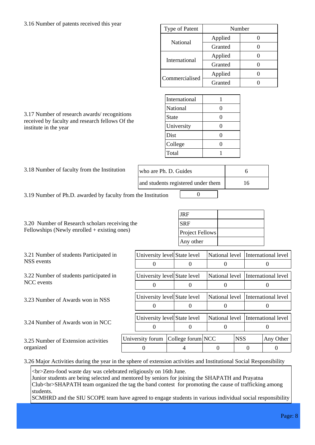## 3.16 Number of patents received this year

| Type of Patent | Number  |  |
|----------------|---------|--|
|                | Applied |  |
| National       | Granted |  |
| International  | Applied |  |
|                | Granted |  |
| Commercialised | Applied |  |
|                | Granted |  |

| International |  |
|---------------|--|
| National      |  |
| State         |  |
| University    |  |
| Dist          |  |
| College       |  |
| Total         |  |

received by faculty and research fellows Of the institute in the year

3.17 Number of research awards/ recognitions

| 3.18 Number of faculty from the Institution | who are Ph. D. Guides              |    |
|---------------------------------------------|------------------------------------|----|
|                                             | and students registered under them | I6 |
|                                             | $\sim$                             |    |

3.19 Number of Ph.D. awarded by faculty from the Institution 0

3.20 Number of Research scholars receiving the Fellowships (Newly enrolled + existing ones)

| 3.21 Number of students Participated in |  |
|-----------------------------------------|--|
| NSS events                              |  |

3.22 Number of students participated in NCC events

3.23 Number of Awards won in NSS

3.24 Number of Awards won in NCC

3.25 Number of Extension activities organized

| <b>JRF</b>             |  |
|------------------------|--|
| <b>SRF</b>             |  |
| <b>Project Fellows</b> |  |
| Any other              |  |

| National level   International level |  |
|--------------------------------------|--|
|                                      |  |
| National level International level   |  |
|                                      |  |
| National level International level   |  |
|                                      |  |
| Any Other                            |  |
|                                      |  |
|                                      |  |

3.26 Major Activities during the year in the sphere of extension activities and Institutional Social Responsibility

<br>Zero-food waste day was celebrated religiously on 16th June.

Junior students are being selected and mentored by seniors for joining the SHAPATH and Prayatna Club<br>SHAPATH team organized the tag the band contest for promoting the cause of trafficking among students.

SCMHRD and the SIU SCOPE team have agreed to engage students in various individual social responsibility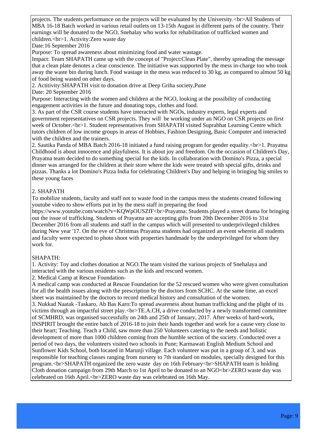projects. The students performance on the projects will be evaluated by the University.<br>All Students of MBA 16-18 Batch worked in various retail outlets on 13-15th August in different parts of the country. Their earnings will be donated to the NGO, Snehalay who works for rehabilitation of trafficked women and children.<br/>-br>1. Activity:Zero waste day

Date:16 September 2016

Purpose: To spread awareness about minimizing food and water wastage.

Impact: Team SHAPATH came up with the concept of "Project:Clean Plate", thereby spreading the message that a clean plate denotes a clear conscience. The initiative was supported by the mess in-charge too who took away the waste bin during lunch. Food wastage in the mess was reduced to 30 kg, as compared to almost 50 kg of food being wasted on other days.

2. Actitivity:SHAPATH visit to donation drive at Deep Griha society,Pune

Date: 20 September 2016

Purpose: Interacting with the women and children at the NGO, looking at the possibility of conducting engagement activities in the future and donating tops, clothes and food.

3. As part of the CSR course students have interacted with NGOs, industry experts, legal experts and government representatives on CSR projects. They will be working under an NGO on CSR projects on first week of October.<br>1. Student representatives from SHAPATH visited Suprabhat Learning Centre which tutors children of low income groups in areas of Hobbies, Fashion Designing, Basic Computer and interacted with the children and the trainers.

2. Sautika Panda of MBA Batch 2016-18 initiated a fund raising program for gender equality.<br>1. Prayatna Childhood is about innocence and playfulness. It is about joy and freedom. On the occasion of Children's Day, Prayatna team decided to do something special for the kids. In collaboration with Domino's Pizza, a special dinner was arranged for the children at their store where the kids were treated with special gifts, drinks and pizzas. Thanks a lot Domino's Pizza India for celebrating Children's Day and helping in bringing big smiles to these young faces

## 2. SHAPATH

To mobilize students, faculty and staff not to waste food in the campus mess the students created following youtube video to show efforts put in by the mess staff in preparing the food

https://www.youtube.com/watch?v=KQWpOUSZfF<br/>>brayatna: Students played a street drama for bringing out the issue of trafficking. Students of Prayatna are accepting gifts from 20th December 2016 to 31st December 2016 from all students and staff in the campus which will presented to underprivileged children during New year '17. On the eve of Christmas Prayatna students had organized an event wherein all students and faculty were expected to photo shoot with properties handmade by the underprivileged for whom they work for.

## SHAPATH:

1. Activity: Toy and clothes donation at NGO.The team visited the various projects of Snehalaya and interacted with the various residents such as the kids and rescued women.

2. Medical Camp at Rescue Foundation-

A medical camp was conducted at Rescue Foundation for the 52 rescued women who were given consultation for all the health issues along with the prescription by the doctors from SCHC. At the same time, an excel sheet was maintained by the doctors to record medical history and consultation of the women. 3. Nukkad Naatak -Taskaro, Ab Bas Karo:To spread awareness about human trafficking and the plight of its victims through an impactful street play.<br>TE.A.CH, a drive conducted by a newly transformed committee of SCMHRD, was organised successfully on 24th and 25th of January, 2017. After weeks of hard-work, INSPIRIT brought the entire batch of 2016-18 to join their hands together and work for a cause very close to their heart; Teaching. Teach a Child, saw more than 250 Volunteers catering to the needs and holistic development of more than 1000 children coming from the humble section of the society. Conducted over a period of two days, the volunteers visited two schools in Pune; Karmawati English Medium School and Sunflower Kids School, both located in Marunji village. Each volunteer was put in a group of 3, and was responsible for teaching classes ranging from nursery to 7th standard on modules, specially designed for this program.<br>SHAPATH organized the zero waste day on 16th February<br>SHAPATH team is holding Cloth donation campaign from 29th March to 1st April to be donated to an NGO<br>ZERO waste day was celebrated on 16th April.<br>ZERO waste day was celebrated on 16th May.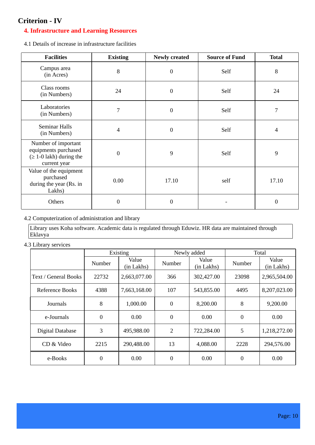## **Criterion - IV**

## **4. Infrastructure and Learning Resources**

4.1 Details of increase in infrastructure facilities

| <b>Facilities</b>                                                                      | <b>Existing</b> | <b>Newly created</b> | <b>Source of Fund</b> | <b>Total</b>   |
|----------------------------------------------------------------------------------------|-----------------|----------------------|-----------------------|----------------|
| Campus area<br>(in Acres)                                                              | 8               | $\boldsymbol{0}$     | Self                  | 8              |
| Class rooms<br>(in Numbers)                                                            | 24              | $\boldsymbol{0}$     | Self                  | 24             |
| Laboratories<br>(in Numbers)                                                           | 7               | $\boldsymbol{0}$     | Self                  | $\overline{7}$ |
| Seminar Halls<br>(in Numbers)                                                          | 4               | $\boldsymbol{0}$     | Self                  | 4              |
| Number of important<br>equipments purchased<br>$(1-0$ lakh) during the<br>current year | $\overline{0}$  | 9                    | Self                  | 9              |
| Value of the equipment<br>purchased<br>during the year (Rs. in<br>Lakhs)               | 0.00            | 17.10                | self                  | 17.10          |
| Others                                                                                 | $\overline{0}$  | $\overline{0}$       |                       | $\mathbf{0}$   |

#### 4.2 Computerization of administration and library

Library uses Koha software. Academic data is regulated through Eduwiz. HR data are maintained through Eklavya

4.3 Library services

|                      |                  | Existing            |                | Newly added         |                | Total               |
|----------------------|------------------|---------------------|----------------|---------------------|----------------|---------------------|
|                      | Number           | Value<br>(in Lakhs) | Number         | Value<br>(in Lakhs) | Number         | Value<br>(in Lakhs) |
| Text / General Books | 22732            | 2,663,077.00        | 366            | 302,427.00          | 23098          | 2,965,504.00        |
| Reference Books      | 4388             | 7,663,168.00        | 107            | 543,855.00          | 4495           | 8,207,023.00        |
| Journals             | 8                | 1,000.00            | $\mathbf{0}$   | 8,200.00            | 8              | 9,200.00            |
| e-Journals           | $\overline{0}$   | 0.00                | $\theta$       | 0.00                | $\overline{0}$ | 0.00                |
| Digital Database     | 3                | 495,988.00          | $\overline{2}$ | 722,284.00          | 5              | 1,218,272.00        |
| CD & Video           | 2215             | 290,488.00          | 13             | 4,088.00            | 2228           | 294,576.00          |
| e-Books              | $\boldsymbol{0}$ | 0.00                | $\Omega$       | 0.00                | 0              | 0.00                |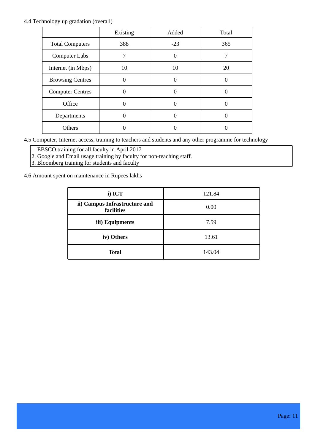#### 4.4 Technology up gradation (overall)

|                         | Existing | Added             | Total |
|-------------------------|----------|-------------------|-------|
| <b>Total Computers</b>  | 388      | $-23$             | 365   |
| Computer Labs           | 7        | $\Omega$          | 7     |
| Internet (in Mbps)      | 10       | 10                | 20    |
| <b>Browsing Centres</b> |          |                   |       |
| <b>Computer Centres</b> |          |                   |       |
| Office                  | 0        | $\Omega$          |       |
| Departments             |          | $\mathbf{\Omega}$ |       |
| Others                  |          |                   |       |

4.5 Computer, Internet access, training to teachers and students and any other programme for technology

 $\sqrt{1.$  EBSCO training for all faculty in April 2017

2. Google and Email usage training by faculty for non-teaching staff.

3. Bloomberg training for students and faculty

4.6 Amount spent on maintenance in Rupees lakhs

| i) ICT                                      | 121.84 |
|---------------------------------------------|--------|
| ii) Campus Infrastructure and<br>facilities | 0.00   |
| iii) Equipments                             | 7.59   |
| iv) Others                                  | 13.61  |
| <b>Total</b>                                | 143.04 |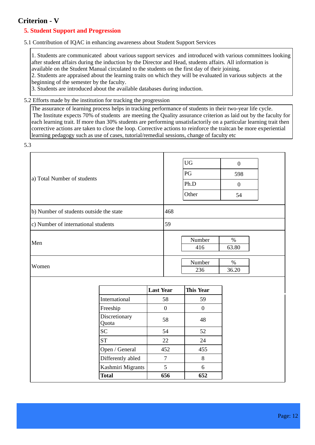## **Criterion - V**

## **5. Student Support and Progression**

#### 5.1 Contribution of IQAC in enhancing awareness about Student Support Services

1. Students are communicated about various support services and introduced with various committees looking after student affairs during the induction by the Director and Head, students affairs. All information is available on the Student Manual circulated to the students on the first day of their joining.

2. Students are appraised about the learning traits on which they will be evaluated in various subjects at the beginning of the semester by the faculty.

3. Students are introduced about the available databases during induction.

#### 5.2 Efforts made by the institution for tracking the progression

The assurance of learning process helps in tracking performance of students in their two-year life cycle. The Institute expects 70% of students are meeting the Quality assurance criterion as laid out by the faculty for each learning trait. If more than 30% students are performing unsatisfactorily on a particular learning trait then corrective actions are taken to close the loop. Corrective actions to reinforce the traitcan be more experiential learning pedagogy such as use of cases, tutorial/remedial sessions, change of faculty etc

5.3

|                                         | UG<br>$\mathbf{0}$   |
|-----------------------------------------|----------------------|
|                                         | PG                   |
| a) Total Number of students             | 598                  |
|                                         | Ph.D<br>$\mathbf{0}$ |
|                                         | Other<br>54          |
| b) Number of students outside the state | 468                  |
| c) Number of international students     | 59                   |
| Men                                     | Number<br>$\%$       |
|                                         | 63.80<br>416         |
| Women                                   | Number<br>$\%$       |
|                                         | 236<br>36.20         |
|                                         |                      |

|                        | <b>Last Year</b> | <b>This Year</b> |
|------------------------|------------------|------------------|
| International          | 58               | 59               |
| Freeship               |                  |                  |
| Discretionary<br>Quota | 58               | 48               |
| <b>SC</b>              | 54               | 52               |
| <b>ST</b>              | 22               | 24               |
| Open / General         | 452              | 455              |
| Differently abled      |                  | 8                |
| Kashmiri Migrants      | 5                | 6                |
| <b>Total</b>           | 656              | 652              |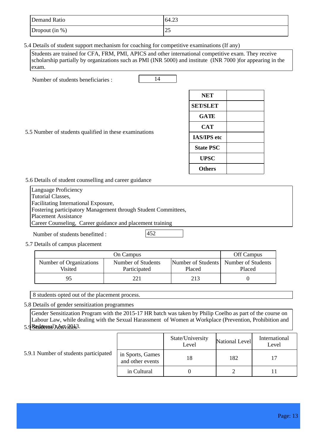| Demand Ratio     | 64.23 |
|------------------|-------|
| Dropout $(in %)$ | رے    |

5.4 Details of student support mechanism for coaching for competitive examinations (If any)

Students are trained for CFA, FRM, PMI, APICS and other international competitive exam. They receive scholarship partially by organizations such as PMI (INR 5000) and institute (INR 7000 )for appearing in the exam.

Number of students beneficiaries : 14

| <b>NET</b>         |  |
|--------------------|--|
| <b>SET/SLET</b>    |  |
| <b>GATE</b>        |  |
| <b>CAT</b>         |  |
| <b>IAS/IPS</b> etc |  |
| <b>State PSC</b>   |  |
| <b>UPSC</b>        |  |
| <b>Others</b>      |  |

5.5 Number of students qualified in these examinations

5.6 Details of student counselling and career guidance

Language Proficiency Tutorial Classes, Facilitating International Exposure, Fostering participatory Management through Student Committees, Placement Assistance Career Counseling, Career guidance and placement training

Number of students benefitted :  $|452\rangle$ 

5.7 Details of campus placement

|                                    | On Campus                          |        | Off Campus                                        |
|------------------------------------|------------------------------------|--------|---------------------------------------------------|
| Number of Organizations<br>Visited | Number of Students<br>Participated | Placed | Number of Students   Number of Students<br>Placed |
| q۶                                 | 221                                | 213    |                                                   |

8 students opted out of the placement process.

5.8 Details of gender sensitization programmes

Gender Sensitization Program with the 2015-17 HR batch was taken by Philip Coelho as part of the course on Labour Law, while dealing with the Sexual Harassment of Women at Workplace (Prevention, Prohibition and

<u>5.9 Redaesnal Adat ADS3.</u>

#### 5.9.1 Number of students participated

|                                      | State/University<br>Level | National Level | International<br>Level |
|--------------------------------------|---------------------------|----------------|------------------------|
| in Sports, Games<br>and other events | 18                        | 182            |                        |
| in Cultural                          |                           |                |                        |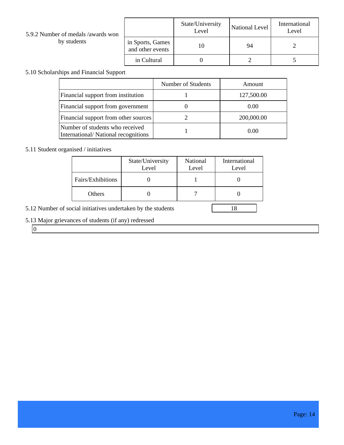| 5.9.2 Number of medals /awards won |                                      | State/University<br>Level | National Level | International<br>Level |
|------------------------------------|--------------------------------------|---------------------------|----------------|------------------------|
| by students                        | in Sports, Games<br>and other events |                           | 94             |                        |
|                                    | in Cultural                          |                           |                |                        |

т

т

Г

## 5.10 Scholarships and Financial Support

|                                                                        | Number of Students | Amount     |
|------------------------------------------------------------------------|--------------------|------------|
| Financial support from institution                                     |                    | 127,500.00 |
| Financial support from government                                      |                    | 0.00       |
| Financial support from other sources                                   |                    | 200,000.00 |
| Number of students who received<br>International/National recognitions |                    | 0.00       |

## 5.11 Student organised / initiatives

|                   | State/University<br>Level | National<br>Level | International<br>Level |
|-------------------|---------------------------|-------------------|------------------------|
| Fairs/Exhibitions |                           |                   |                        |
| Others            |                           |                   |                        |
|                   |                           |                   |                        |

5.12 Number of social initiatives undertaken by the students 18

## 5.13 Major grievances of students (if any) redressed

 $\boxed{0}$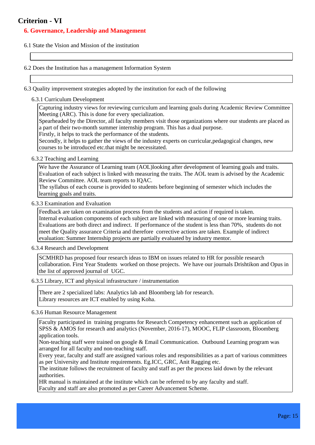## **Criterion - VI**

#### **6. Governance, Leadership and Management**

6.1 State the Vision and Mission of the institution

6.2 Does the Institution has a management Information System

- 6.3 Quality improvement strategies adopted by the institution for each of the following
	- 6.3.1 Curriculum Development

Capturing industry views for reviewing curriculum and learning goals during Academic Review Committee Meeting (ARC). This is done for every specialization.

Spearheaded by the Director, all faculty members visit those organizations where our students are placed as a part of their two-month summer internship program. This has a dual purpose.

Firstly, it helps to track the performance of the students.

Secondly, it helps to gather the views of the industry experts on curricular,pedagogical changes, new courses to be introduced etc.that might be necessitated.

6.3.2 Teaching and Learning

We have the Assurance of Learning team (AOL)looking after development of learning goals and traits. Evaluation of each subject is linked with measuring the traits. The AOL team is advised by the Academic Review Committee. AOL team reports to IQAC.

The syllabus of each course is provided to students before beginning of semester which includes the learning goals and traits.

6.3.3 Examination and Evaluation

Feedback are taken on examination process from the students and action if required is taken. Internal evaluation components of each subject are linked with measuring of one or more learning traits. Evaluations are both direct and indirect. If performance of the student is less than 70%, students do not meet the Quality assurance Criteria and therefore corrective actions are taken. Example of indirect evaluation: Summer Internship projects are partially evaluated by industry mentor.

6.3.4 Research and Development

SCMHRD has proposed four research ideas to IBM on issues related to HR for possible research collaboration. First Year Students worked on those projects. We have our journals Drishtikon and Opus in the list of approved journal of UGC.

6.3.5 Library, ICT and physical infrastructure / instrumentation

There are 2 specialized labs: Analytics lab and Bloomberg lab for research. Library resources are ICT enabled by using Koha.

6.3.6 Human Resource Management

Faculty participated in training programs for Research Competency enhancement such as application of SPSS & AMOS for research and analytics (November, 2016-17), MOOC, FLIP classroom, Bloomberg application tools.

Non-teaching staff were trained on google & Email Communication. Outbound Learning program was arranged for all faculty and non-teaching staff.

Every year, faculty and staff are assigned various roles and responsibilities as a part of various committees as per University and Institute requirements. Eg.ICC, GRC, Anit Ragging etc.

The institute follows the recruitment of faculty and staff as per the process laid down by the relevant authorities.

HR manual is maintained at the institute which can be referred to by any faculty and staff. Faculty and staff are also promoted as per Career Advancement Scheme.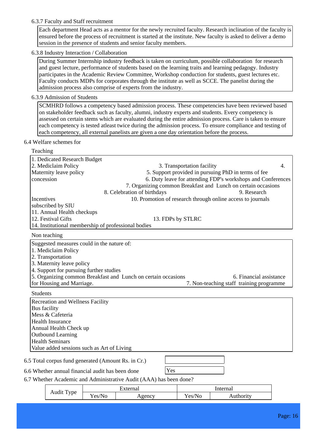#### 6.3.7 Faculty and Staff recruitment

Each department Head acts as a mentor for the newly recruited faculty. Research inclination of the faculty is ensured before the process of recruitment is started at the institute. New faculty is asked to deliver a demo session in the presence of students and senior faculty members.

#### 6.3.8 Industry Interaction / Collaboration

During Summer Internship industry feedback is taken on curriculum, possible collaboration for research and guest lecture, performance of students based on the learning traits and learning pedagogy. Industry participates in the Academic Review Committee, Workshop conduction for students, guest lectures etc. Faculty conducts MDPs for corporates through the institute as well as SCCE. The panelist during the admission process also comprise of experts from the industry.

#### 6.3.9 Admission of Students

SCMHRD follows a competency based admission process. These competencies have been reviewed based on stakeholder feedback such as faculty, alumni, industry experts and students. Every competency is assessed on certain stems which are evaluated during the entire admission process. Care is taken to ensure each competency is tested atleast twice during the admission process. To ensure compliance and testing of each competency, all external panelists are given a one day orientation before the process.

#### 6.4 Welfare schemes for

#### Teaching

| 1. Dedicated Research Budget                        |                                                                                          |
|-----------------------------------------------------|------------------------------------------------------------------------------------------|
| 2. Mediclaim Policy                                 | 3. Transportation facility<br>$\overline{4}$ .                                           |
| Maternity leave policy                              | 5. Support provided in pursuing PhD in terms of fee                                      |
| concession                                          | 6. Duty leave for attending FDP's workshops and Conferences                              |
|                                                     | 7. Organizing common Breakfast and Lunch on certain occasions                            |
|                                                     | 8. Celebration of birthdays<br>9. Research                                               |
| Incentives                                          | 10. Promotion of research through online access to journals                              |
| subscribed by SIU                                   |                                                                                          |
| 11. Annual Health checkups                          |                                                                                          |
| 12. Festival Gifts                                  | 13. FDPs by STLRC                                                                        |
| 14. Institutional membership of professional bodies |                                                                                          |
| Non teaching                                        |                                                                                          |
| Suggested measures could in the nature of:          |                                                                                          |
| 1. Mediclaim Policy                                 |                                                                                          |
| 2. Transportation                                   |                                                                                          |
| 3. Maternity leave policy                           |                                                                                          |
| 4. Support for pursuing further studies             |                                                                                          |
|                                                     | 5. Organizing common Breakfast and Lunch on certain occasions<br>6. Financial assistance |
| for Housing and Marriage.                           | 7. Non-teaching staff training programme                                                 |
| <b>Students</b>                                     |                                                                                          |
| <b>Recreation and Wellness Facility</b>             |                                                                                          |
| Bus facility                                        |                                                                                          |
| Mess & Cafeteria                                    |                                                                                          |
| <b>Health Insurance</b>                             |                                                                                          |
| Annual Health Check up                              |                                                                                          |
| <b>Outbound Learning</b>                            |                                                                                          |
| <b>Health Seminars</b>                              |                                                                                          |
| Value added sessions such as Art of Living          |                                                                                          |
| 6.5 Total corpus fund generated (Amount Rs. in Cr.) |                                                                                          |
| 6.6 Whether annual financial audit has been done    | Yes                                                                                      |
|                                                     | 6.7 Whether Academic and Administrative Audit (AAA) has been done?                       |
|                                                     |                                                                                          |

| $\cdot$ $\cdot$<br>$\overline{ }$ | $+ \alpha$ and $\alpha$ '                                           |  | nternal |          |
|-----------------------------------|---------------------------------------------------------------------|--|---------|----------|
| vpe<br>Audit<br>. .               | $\sim$ $\sim$<br>'No<br>$\mathrm{e}\mathrm{s}$ /1<br>$\Omega$ sency |  | Yes/No  | uthority |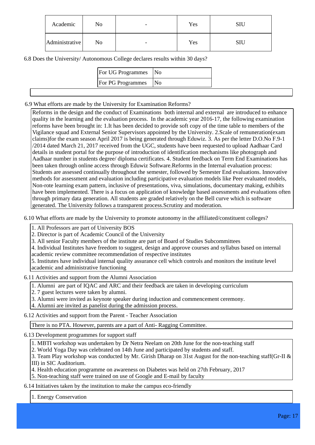| Academic       | No | $\overline{\phantom{a}}$ | Yes |  |
|----------------|----|--------------------------|-----|--|
| Administrative | No | $\overline{\phantom{a}}$ | Yes |  |

6.8 Does the University/ Autonomous College declares results within 30 days?

| <b>For UG Programmes</b> No |     |
|-----------------------------|-----|
| <b>For PG Programmes</b>    | No. |

6.9 What efforts are made by the University for Examination Reforms?

Reforms in the design and the conduct of Examinations both internal and external are introduced to enhance quality in the learning and the evaluation process. In the academic year 2016-17, the following examination reforms have been brought in: 1.It has been decided to provide soft copy of the time table to members of the Vigilance squad and External Senior Supervisors appointed by the University. 2.Scale of remuneration(exam claims)for the exam season April 2017 is being generated through Eduwiz. 3. As per the letter D.O.No F.9-1 /2014 dated March 21, 2017 received from the UGC, students have been requested to upload Aadhaar Card details in student portal for the purpose of introduction of identification mechanisms like photograph and Aadhaar number in students degree/ diploma certificates. 4. Student feedback on Term End Examinations has been taken through online access through Eduwiz Software.Reforms in the Internal evaluation process: Students are assessed continually throughout the semester, followed by Semester End evaluations. Innovative methods for assessment and evaluation including participative evaluation models like Peer evaluated models, Non-rote learning exam pattern, inclusive of presentations, viva, simulations, documentary making, exhibits have been implemented. There is a focus on application of knowledge based assessments and evaluations often through primary data generation. All students are graded relatively on the Bell curve which is software generated. The University follows a transparent process.Scrutiny and moderation.

6.10 What efforts are made by the University to promote autonomy in the affiliated/constituent colleges?

1. All Professors are part of University BOS

2. Director is part of Academic Council of the University

3. All senior Faculty members of the institute are part of Board of Studies Subcommittees

4. Individual Institutes have freedom to suggest, design and approve courses and syllabus based on internal academic review committee recommendation of respective institutes

5. Institutes have individual internal quality assurance cell which controls and monitors the institute level academic and administrative functioning

6.11 Activities and support from the Alumni Association

1. Alumni are part of IQAC and ARC and their feedback are taken in developing curriculum

2. 7 guest lectures were taken by alumni.

3. Alumni were invited as keynote speaker during induction and commencement ceremony.

4. Alumni are invited as panelist during the admission process.

6.12 Activities and support from the Parent - Teacher Association

There is no PTA. However, parents are a part of Anti- Ragging Committee.

6.13 Development programmes for support staff

1. MBTI workshop was undertaken by Dr Netra Neelam on 20th June for the non-teaching staff

2. World Yoga Day was celebrated on 14th June and participated by students and staff.

3. Team Play workshop was conducted by Mr. Girish Dharap on 31st August for the non-teaching staff(Gr-II & III) in SIC Auditorium.

4. Health education programme on awareness on Diabetes was held on 27th February, 2017

5. Non-teaching staff were trained on use of Google and E-mail by faculty

6.14 Initiatives taken by the institution to make the campus eco-friendly

1. Energy Conservation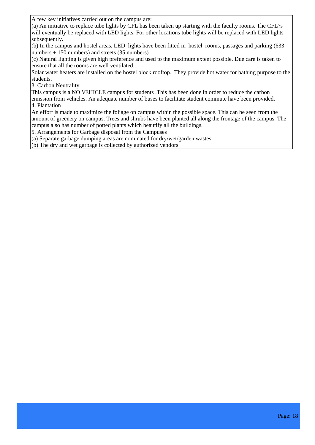A few key initiatives carried out on the campus are:

(a) An initiative to replace tube lights by CFL has been taken up starting with the faculty rooms. The CFL?s will eventually be replaced with LED lights. For other locations tube lights will be replaced with LED lights subsequently.

(b) In the campus and hostel areas, LED lights have been fitted in hostel rooms, passages and parking (633 numbers + 150 numbers) and streets (35 numbers)

(c) Natural lighting is given high preference and used to the maximum extent possible. Due care is taken to ensure that all the rooms are well ventilated.

Solar water heaters are installed on the hostel block rooftop. They provide hot water for bathing purpose to the students.

3. Carbon Neutrality

This campus is a NO VEHICLE campus for students .This has been done in order to reduce the carbon

emission from vehicles. An adequate number of buses to facilitate student commute have been provided. 4. Plantation

An effort is made to maximize the foliage on campus within the possible space. This can be seen from the amount of greenery on campus. Trees and shrubs have been planted all along the frontage of the campus. The campus also has number of potted plants which beautify all the buildings.

5. Arrangements for Garbage disposal from the Campuses

(a) Separate garbage dumping areas are nominated for dry/wet/garden wastes.

(b) The dry and wet garbage is collected by authorized vendors.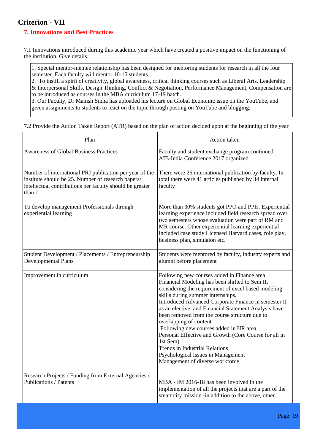## **Criterion - VII**

## **7. Innovations and Best Practices**

7.1 Innovations introduced during this academic year which have created a positive impact on the functioning of the institution. Give details.

1. Special mentor-mentee relationship has been designed for mentoring students for research in all the four semester. Each faculty will mentor 10-15 students.

2. To instill a spirit of creativity, global awareness, critical thinking courses such as Liberal Arts, Leadership & Interpersonal Skills, Design Thinking, Conflict & Negotiation, Performance Management, Compensation are to be introduced as courses in the MBA curriculum 17-19 batch.

3. Our Faculty, Dr Manish Sinha has uploaded his lecture on Global Economic issue on the YouTube, and given assignments to students to react on the topic through posting on YouTube and blogging.

7.2 Provide the Action Taken Report (ATR) based on the plan of action decided upon at the beginning of the year

| Plan                                                                                                                                                                                 | Action taken                                                                                                                                                                                                                                                                                                                                                                                                                                                                                                                                                                                                            |
|--------------------------------------------------------------------------------------------------------------------------------------------------------------------------------------|-------------------------------------------------------------------------------------------------------------------------------------------------------------------------------------------------------------------------------------------------------------------------------------------------------------------------------------------------------------------------------------------------------------------------------------------------------------------------------------------------------------------------------------------------------------------------------------------------------------------------|
| <b>Awareness of Global Business Practices</b>                                                                                                                                        | Faculty and student exchange program continued.<br>AIB-India Conference 2017 organized                                                                                                                                                                                                                                                                                                                                                                                                                                                                                                                                  |
| Number of international PRJ publication per year of the<br>institute should be 25. Number of research papers/<br>intellectual contributions per faculty should be greater<br>than 1. | There were 26 international publication by faculty. In<br>total there were 41 articles published by 34 internal<br>faculty                                                                                                                                                                                                                                                                                                                                                                                                                                                                                              |
| To develop management Professionals through<br>experiential learning                                                                                                                 | More than 30% students got PPO and PPIs. Experiential<br>learning experience included field research spread over<br>two semesters whose evaluation were part of RM and<br>MR course. Other experiential learning experiential<br>included case study Licensed Harvard cases, role play,<br>business plan, simulaion etc.                                                                                                                                                                                                                                                                                                |
| Student Development / Placements / Entrepreneurship<br><b>Developmental Plans</b>                                                                                                    | Students were mentored by faculty, industry experts and<br>alumni before placement                                                                                                                                                                                                                                                                                                                                                                                                                                                                                                                                      |
| Improvement in curriculum                                                                                                                                                            | Following new courses added in Finance area<br>Financial Modeling has been shifted to Sem II,<br>considering the requirement of excel based modeling<br>skills during summer internships.<br>Introduced Advanced Corporate Finance in semester II<br>as an elective, and Financial Statement Analysis have<br>been removed from the course structure due to<br>overlapping of content.<br>Following new courses added in HR area<br>Personal Effective and Growth (Core Course for all in<br>1st Sem)<br><b>Trends in Industrial Relations</b><br>Psychological Issues in Management<br>Management of diverse workforce |
| Research Projects / Funding from External Agencies /<br><b>Publications / Patents</b>                                                                                                | MBA - IM 2016-18 has been involved in the<br>implementation of all the projects that are a part of the<br>smart city mission -in addition to the above, other                                                                                                                                                                                                                                                                                                                                                                                                                                                           |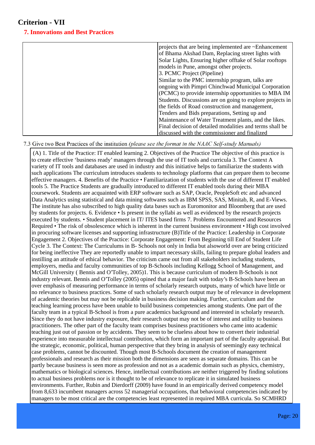## **Criterion - VII**

### **7. Innovations and Best Practices**

| projects that are being implemented are ~Enhancement      |
|-----------------------------------------------------------|
| of Bhama Akshad Dam, Replacing street lights with         |
| Solar Lights, Ensuring higher offtake of Solar rooftops   |
| models in Pune, amongst other projects.                   |
| 3. PCMC Project (Pipeline)                                |
| Similar to the PMC internship program, talks are          |
| ongoing with Pimpri Chinchwad Municipal Corporation       |
| (PCMC) to provide internship opportunities to MBA IM      |
| Students. Discussions are on going to explore projects in |
| the fields of Road construction and management,           |
| Tenders and Bids preparations, Setting up and             |
| Maintenance of Water Treatment plants, and the likes.     |
| Final decision of detailed modalities and terms shall be  |
| discussed with the commissioner and finalized             |

#### 7.3 Give two Best Practices of the institution (please see the format in the NAAC Self-study Manuals)

 (A) 1. Title of the Practice: IT enabled learning 2. Objectives of the Practice The objective of this practice is to create effective 'business ready' managers through the use of IT tools and curricula 3. The Context A variety of IT tools and databases are used in industry and this initiative helps to familiarize the students with such applications The curriculum introduces students to technology platforms that can prepare them to become effective managers. 4. Benefits of the Practice • Familiarization of students with the use of different IT enabled tools 5. The Practice Students are gradually introduced to different IT enabled tools during their MBA coursework. Students are acquainted with ERP software such as SAP, Oracle, PeopleSoft etc and advanced Data Analytics using statistical and data mining softwares such as IBM SPSS, SAS, Minitab, R, and E-Views. The institute has also subscribed to high quality data bases such as Euromonitor and Bloomberg that are used by students for projects. 6. Evidence • Is present in the syllabi as well as evidenced by the research projects executed by students. • Student placement in IT/ ITES based firms 7. Problems Encountered and Resources Required • The risk of obsolescence which is inherent in the current business environment • High cost involved in procuring software licenses and supporting infrastructure (B)Title of the Practice: Leadership in Corporate Engagement 2. Objectives of the Practice: Corporate Engagement: From Beginning till End of Student Life Cycle 3. The Context: The Curriculums in B- Schools not only in India but alsoworld over are being criticized for being ineffective They are reportedly unable to impart necessary skills, failing to prepare global leaders and instilling an attitude of ethical behavior. The criticism came out from all stakeholders including students, employers, media and faculty communities of top B-Schools including Kellogg School of Management, and McGill University ( Bennis and O'Tolley, 2005)1. This is because curriculum of modern B-Schools is not industry relevant. Bennis and O'Tolley (2005) opined that a major fault with today's B-Schools have been an over emphasis of measuring performance in terms of scholarly research outputs, many of which have little or no relevance to business practices. Some of such scholarly research output may be of relevance in development of academic theories but may not be replicable in business decision making. Further, curriculum and the teaching learning process have been unable to build business competencies among students. One part of the faculty team in a typical B-School is from a pure academics background and interested in scholarly research. Since they do not have industry exposure, their research output may not be of interest and utility to business practitioners. The other part of the faculty team comprises business practitioners who came into academic teaching just out of passion or by accidents. They seem to be clueless about how to convert their industrial experience into measurable intellectual contribution, which form an important part of the faculty appraisal. But the strategic, economic, political, human perspective that they bring in analysis of seemingly easy technical case problems, cannot be discounted. Though most B-Schools document the creation of management professionals and research as their mission both the dimensions are seen as separate domains. This can be partly because business is seen more as profession and not as a academic domain such as physics, chemistry, mathematics or biological sciences. Hence, intellectual contributions are neither triggered by finding solutions to actual business problems nor is it thought to be of relevance to replicate it in simulated business environments. Further, Rubin and Dierdorff (2009) have found in an empirically derived competency model from 8,633 incumbent managers across 52 managerial occupations, that behavioral competencies indicated by managers to be most critical are the competencies least represented in required MBA curricula. So SCMHRD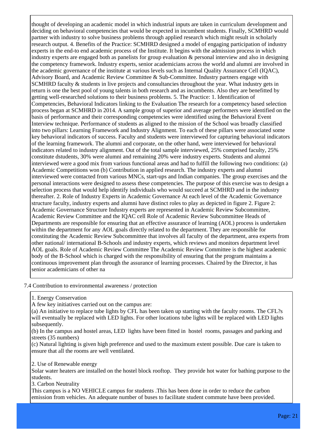thought of developing an academic model in which industrial inputs are taken in curriculum development and deciding on behavioral competencies that would be expected in incumbent students. Finally, SCMHRD would partner with industry to solve business problems through applied research which might result in scholarly research output. 4. Benefits of the Practice: SCMHRD designed a model of engaging participation of industry experts in the end-to end academic process of the Institute. It begins with the admission process in which industry experts are engaged both as panelists for group evaluation & personal interview and also in designing the competency framework. Industry experts, senior academicians across the world and alumni are involved in the academic governance of the institute at various levels such as Internal Quality Assurance Cell (IQAC), Advisory Board, and Academic Review Committee & Sub-Committee. Industry partners engage with SCMHRD faculty & students in live projects and consultancies throughout the year. What industry gets in return is one the best pool of young talents in both research and as incumbents. Also they are benefitted by getting well-researched solutions to their business problems. 5. The Practice: 1. Identification of Competencies, Behavioral Indicators linking to the Evaluation The research for a competency based selection process began at SCMHRD in 2014. A sample group of superior and average performers were identified on the basis of performance and their corresponding competencies were identified using the Behavioral Event Interview technique. Performance of students as aligned to the mission of the School was broadly classified into two pillars: Learning Framework and Industry Alignment. To each of these pillars were associated some key behavioral indicators of success. Faculty and students were interviewed for capturing behavioral indicators of the learning framework. The alumni and corporate, on the other hand, were interviewed for behavioral indicators related to industry alignment. Out of the total sample interviewed, 25% comprised faculty, 25% constitute dstudents, 30% were alumni and remaining 20% were industry experts. Students and alumni interviewed were a good mix from various functional areas and had to fulfill the following two conditions: (a) Academic Competitions won (b) Contribution in applied research. The industry experts and alumni interviewed were contacted from various MNCs, start-ups and Indian companies. The group exercises and the personal interactions were designed to assess these competencies. The purpose of this exercise was to design a selection process that would help identify individuals who would succeed at SCMHRD and in the industry thereafter. 2. Role of Industry Experts in Academic Governance At each level of the Academic Governance structure faculty, industry experts and alumni have distinct roles to play as depicted in figure 2. Figure 2: Academic Governance Structure Industry experts are represented in Academic Review Subcommittee, Academic Review Committee and the IQAC cell Role of Academic Review Subcommittee Heads of Departments are responsible for ensuring that an effective assurance of learning (AOL) process is undertaken within the department for any AOL goals directly related to the department. They are responsible for constituting the Academic Review Subcommittee that involves all faculty of the department, area experts from other national/ international B-Schools and industry experts, which reviews and monitors department level AOL goals. Role of Academic Review Committee The Academic Review Committee is the highest academic body of the B-School which is charged with the responsibility of ensuring that the program maintains a continuous improvement plan through the assurance of learning processes. Chaired by the Director, it has senior academicians of other na

#### 7.4 Contribution to environmental awareness / protection

1. Energy Conservation

A few key initiatives carried out on the campus are:

(a) An initiative to replace tube lights by CFL has been taken up starting with the faculty rooms. The CFL?s will eventually be replaced with LED lights. For other locations tube lights will be replaced with LED lights subsequently.

(b) In the campus and hostel areas, LED lights have been fitted in hostel rooms, passages and parking and streets (35 numbers)

(c) Natural lighting is given high preference and used to the maximum extent possible. Due care is taken to ensure that all the rooms are well ventilated.

2. Use of Renewable energy

Solar water heaters are installed on the hostel block rooftop. They provide hot water for bathing purpose to the students.

3. Carbon Neutrality

This campus is a NO VEHICLE campus for students .This has been done in order to reduce the carbon emission from vehicles. An adequate number of buses to facilitate student commute have been provided.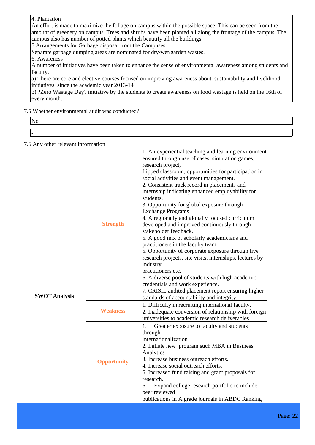#### 4. Plantation

An effort is made to maximize the foliage on campus within the possible space. This can be seen from the amount of greenery on campus. Trees and shrubs have been planted all along the frontage of the campus. The campus also has number of potted plants which beautify all the buildings.

5.Arrangements for Garbage disposal from the Campuses

Separate garbage dumping areas are nominated for dry/wet/garden wastes.

6. Awareness

A number of initiatives have been taken to enhance the sense of environmental awareness among students and faculty.

a) There are core and elective courses focused on improving awareness about sustainability and livelihood initiatives since the academic year 2013-14

b) ?Zero Wastage Day? initiative by the students to create awareness on food wastage is held on the 16th of every month.

#### 7.5 Whether environmental audit was conducted?

| <b>INU</b> |  |
|------------|--|
|            |  |
| -          |  |

7.6 Any other relevant information

| <b>SWOT Analysis</b> | <b>Strength</b>    | 1. An experiential teaching and learning environment<br>ensured through use of cases, simulation games,<br>research project,<br>flipped classroom, opportunities for participation in<br>social activities and event management.<br>2. Consistent track record in placements and<br>internship indicating enhanced employability for<br>students.<br>3. Opportunity for global exposure through<br><b>Exchange Programs</b><br>4. A regionally and globally focused curriculum<br>developed and improved continuously through<br>stakeholder feedback.<br>5. A good mix of scholarly academicians and<br>practitioners in the faculty team.<br>5. Opportunity of corporate exposure through live<br>research projects, site visits, internships, lectures by<br>industry<br>practitioners etc.<br>6. A diverse pool of students with high academic<br>credentials and work experience.<br>7. CRISIL audited placement report ensuring higher<br>standards of accountability and integrity. |
|----------------------|--------------------|--------------------------------------------------------------------------------------------------------------------------------------------------------------------------------------------------------------------------------------------------------------------------------------------------------------------------------------------------------------------------------------------------------------------------------------------------------------------------------------------------------------------------------------------------------------------------------------------------------------------------------------------------------------------------------------------------------------------------------------------------------------------------------------------------------------------------------------------------------------------------------------------------------------------------------------------------------------------------------------------|
|                      | <b>Weakness</b>    | 1. Difficulty in recruiting international faculty.<br>2. Inadequate conversion of relationship with foreign<br>universities to academic research deliverables.                                                                                                                                                                                                                                                                                                                                                                                                                                                                                                                                                                                                                                                                                                                                                                                                                             |
|                      | <b>Opportunity</b> | 1.<br>Greater exposure to faculty and students<br>through<br>internationalization.<br>2. Initiate new program such MBA in Business<br>Analytics<br>3. Increase business outreach efforts.<br>4. Increase social outreach efforts.<br>5. Increased fund raising and grant proposals for<br>research.<br>Expand college research portfolio to include<br>6.<br>peer reviewed<br>publications in A grade journals in ABDC Ranking                                                                                                                                                                                                                                                                                                                                                                                                                                                                                                                                                             |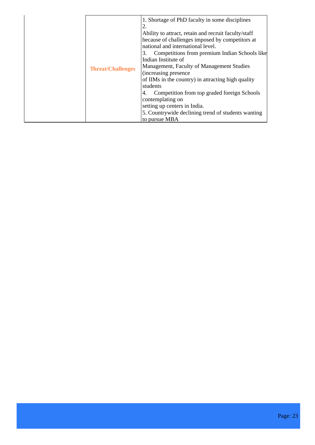|  | 1. Shortage of PhD faculty in some disciplines<br>2.<br>Ability to attract, retain and recruit faculty/staff<br>because of challenges imposed by competitors at |                                                                                                                                                                                                                                                                                                                                                                                                                                   |
|--|-----------------------------------------------------------------------------------------------------------------------------------------------------------------|-----------------------------------------------------------------------------------------------------------------------------------------------------------------------------------------------------------------------------------------------------------------------------------------------------------------------------------------------------------------------------------------------------------------------------------|
|  | <b>Threat/Challenges</b>                                                                                                                                        | national and international level.<br>Competitions from premium Indian Schools like<br>3.<br>Indian Institute of<br>Management, Faculty of Management Studies<br>(increasing presence)<br>of IIMs in the country) in attracting high quality<br>students<br>Competition from top graded foreign Schools<br>contemplating on<br>setting up centers in India.<br>5. Countrywide declining trend of students wanting<br>to pursue MBA |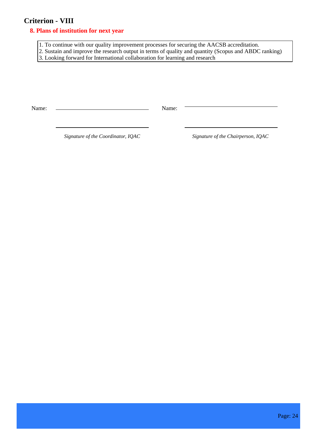## **Criterion - VIII**

#### **8. Plans of institution for next year**

1. To continue with our quality improvement processes for securing the AACSB accreditation.

2. Sustain and improve the research output in terms of quality and quantity (Scopus and ABDC ranking)

3. Looking forward for International collaboration for learning and research

Name: Name:

 *Signature of the Coordinator, IQAC Signature of the Chairperson, IQAC*